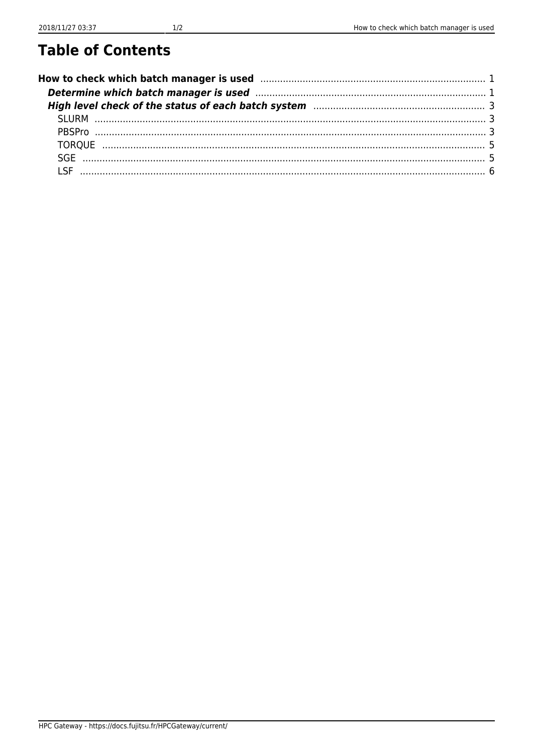# **Table of Contents**

| Determine which batch manager is used manufactured and the control of the determined and the Determined and I |  |
|---------------------------------------------------------------------------------------------------------------|--|
|                                                                                                               |  |
|                                                                                                               |  |
|                                                                                                               |  |
|                                                                                                               |  |
|                                                                                                               |  |
|                                                                                                               |  |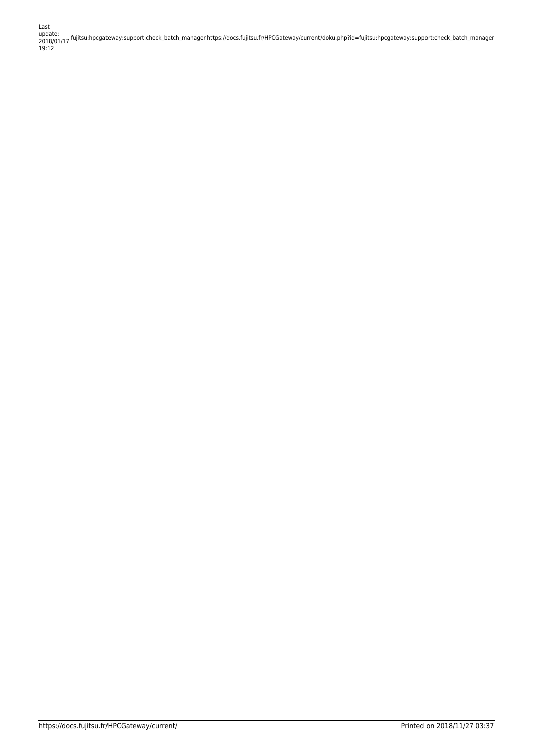Last update: 2018/01/17 19:12 fujitsu:hpcgateway:support:check\_batch\_manager https://docs.fujitsu.fr/HPCGateway/current/doku.php?id=fujitsu:hpcgateway:support:check\_batch\_manager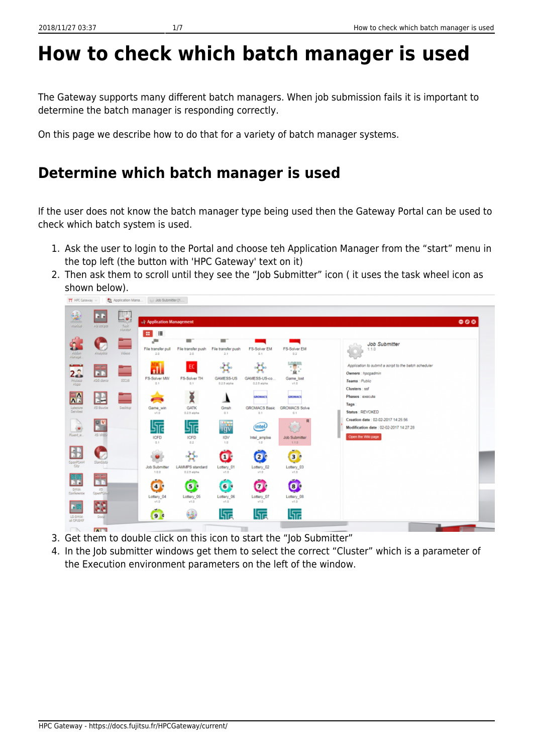# <span id="page-2-0"></span>**How to check which batch manager is used**

The Gateway supports many different batch managers. When job submission fails it is important to determine the batch manager is responding correctly.

On this page we describe how to do that for a variety of batch manager systems.

# <span id="page-2-1"></span>**Determine which batch manager is used**

If the user does not know the batch manager type being used then the Gateway Portal can be used to check which batch system is used.

- 1. Ask the user to login to the Portal and choose teh Application Manager from the "start" menu in the top left (the button with 'HPC Gateway' text on it)
- 2. Then ask them to scroll until they see the "Job Submitter" icon ( it uses the task wheel icon as shown below).



- 3. Get them to double click on this icon to start the "Job Submitter"
- 4. In the Job submitter windows get them to select the correct "Cluster" which is a parameter of the Execution environment parameters on the left of the window.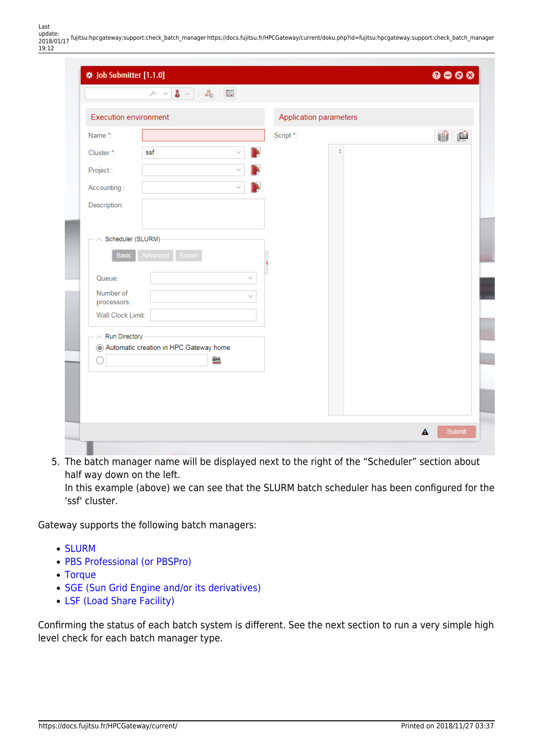| Execution environment    |                                        | Application parameters |              |            |
|--------------------------|----------------------------------------|------------------------|--------------|------------|
| Name *:                  |                                        | Script *:              |              | <b>IEA</b> |
| Cluster*:                | ssf                                    |                        | $\mathbf{1}$ |            |
| Project:                 |                                        |                        |              |            |
| Accounting:              | v                                      |                        |              |            |
| Description:             |                                        |                        |              |            |
|                          |                                        |                        |              |            |
| Scheduler (SLURM)        |                                        |                        |              |            |
| <b>Basic</b>             | Advanced Expert                        |                        |              |            |
|                          |                                        |                        |              |            |
| Queue:                   | v                                      |                        |              |            |
| Number of<br>processors: | v                                      |                        |              |            |
| Wall Clock Limit:        |                                        |                        |              |            |
|                          |                                        |                        |              |            |
| Run Directory            | Automatic creation in HPC Gateway home |                        |              |            |
|                          | E                                      |                        |              |            |
|                          |                                        |                        |              |            |
|                          |                                        |                        |              |            |
|                          |                                        |                        |              |            |

5. The batch manager name will be displayed next to the right of the "Scheduler" section about half way down on the left.

In this example (above) we can see that the SLURM batch scheduler has been configured for the 'ssf' cluster.

Gateway supports the following batch managers:

- [SLURM](#page-4-3)
- [PBS Professional \(or PBSPro\)](#page-4-4)
- [Torque](#page-6-2)
- [SGE \(Sun Grid Engine and/or its derivatives\)](#page-6-3)
- [LSF \(Load Share Facility\)](#page-7-1)

Confirming the status of each batch system is different. See the next section to run a very simple high level check for each batch manager type.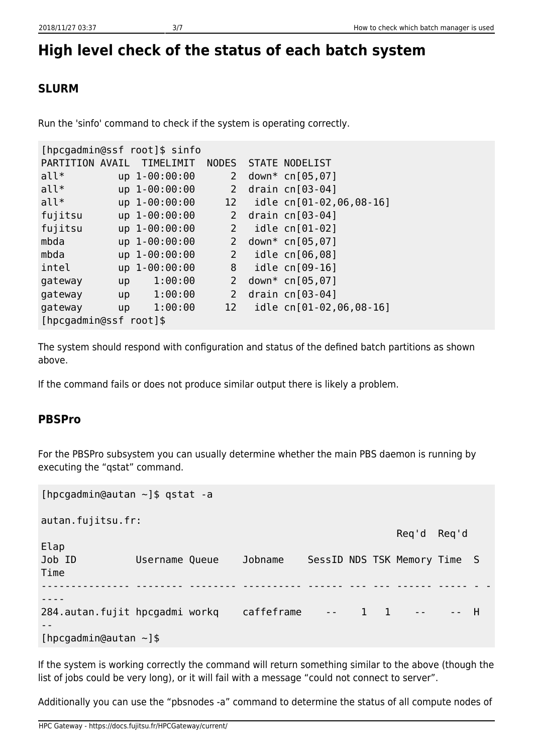# **High level check of the status of each batch system**

## <span id="page-4-3"></span><span id="page-4-1"></span>**SLURM**

Run the 'sinfo' command to check if the system is operating correctly.

```
[hpcgadmin@ssf root]$ sinfo
PARTITION AVAIL TIMELIMIT NODES STATE NODELIST
all* up 1-00:00:00 2 down* cn[05,07]
all* up 1-00:00:00 2 drain cn[03-04]
all* up 1-00:00:00 12 idle cn[01-02,06,08-16]
fujitsu up 1-00:00:00 2 drain cn[03-04]
fujitsu up 1-00:00:00 2 idle cn[01-02]
mbda up 1-00:00:00 2 down* cn[05,07]
mbda up 1-00:00:00 2 idle cn[06,08]
intel up 1-00:00:00 8 idle cn[09-16]
gateway up 1:00:00 2 down* cn[05,07]
gateway up 1:00:00 2 drain cn[03-04]
gateway up 1:00:00 12 idle cn[01-02,06,08-16]
[hpcgadmin@ssf root]$
```
The system should respond with configuration and status of the defined batch partitions as shown above.

If the command fails or does not produce similar output there is likely a problem.

# <span id="page-4-4"></span><span id="page-4-2"></span>**PBSPro**

For the PBSPro subsystem you can usually determine whether the main PBS daemon is running by executing the "qstat" command.

```
[hpcgadmin@autan ~]$ qstat -a
autan.fujitsu.fr:
                                                        Req'd Req'd
Elap
Job ID Username Queue Jobname SessID NDS TSK Memory Time S
Time
--------------- -------- -------- ---------- ------ --- --- ------ ----- - -
----
284.autan.fujit hpcgadmi workg caffeframe -- 1 1 -- -- H
--
[hpcgadmin@autan ~]$
```
<span id="page-4-0"></span>If the system is working correctly the command will return something similar to the above (though the list of jobs could be very long), or it will fail with a message "could not connect to server".

Additionally you can use the "pbsnodes -a" command to determine the status of all compute nodes of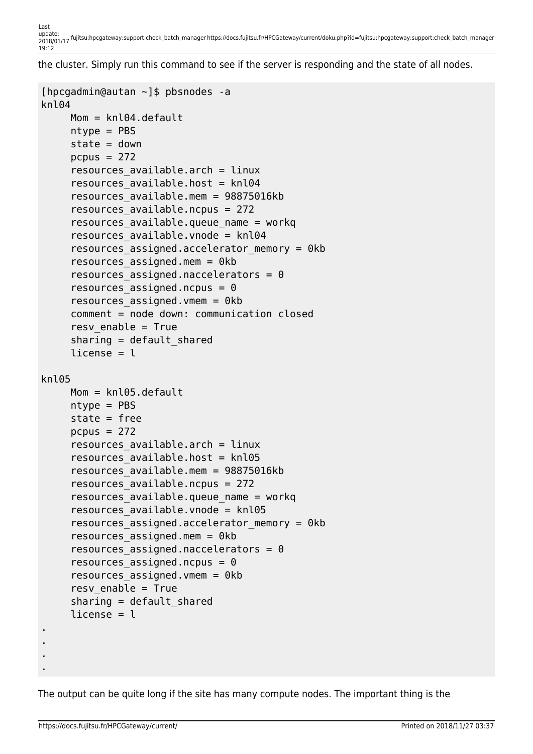the cluster. Simply run this command to see if the server is responding and the state of all nodes.

```
[hpcgadmin@autan ~]$ pbsnodes -a
knl04
     Mom = knl04.default
     ntype = PBSstate = downpcpus = 272 resources_available.arch = linux
     resources available.host = kn104 resources_available.mem = 98875016kb
      resources_available.ncpus = 272
     resources available.queue name = workq
     resources available.vnode = kn104resources assigned.accelerator memory = 0kbresources assigned.mem = 0kbresources assigned.naccelerators = 0resources assigned.ncpus = 0resources assigned.vmem = 0kb comment = node down: communication closed
     resv enable = Truesharing = default shared
      license = l
knl05
      Mom = knl05.default
      ntype = PBS
      state = free
     pcpus = 272resources available.arch = linux
     resources available.host = kn105 resources_available.mem = 98875016kb
      resources_available.ncpus = 272
     resources available.queue name = workq
     resources available.vnode = kn105resources assigned.accelerator memory = 0kb
      resources_assigned.mem = 0kb
     resources assigned.naccelerators = 0resources assigned.ncpus = 0 resources_assigned.vmem = 0kb
     resv enable = True sharing = default_shared
      license = l
.
.
.
.
```
The output can be quite long if the site has many compute nodes. The important thing is the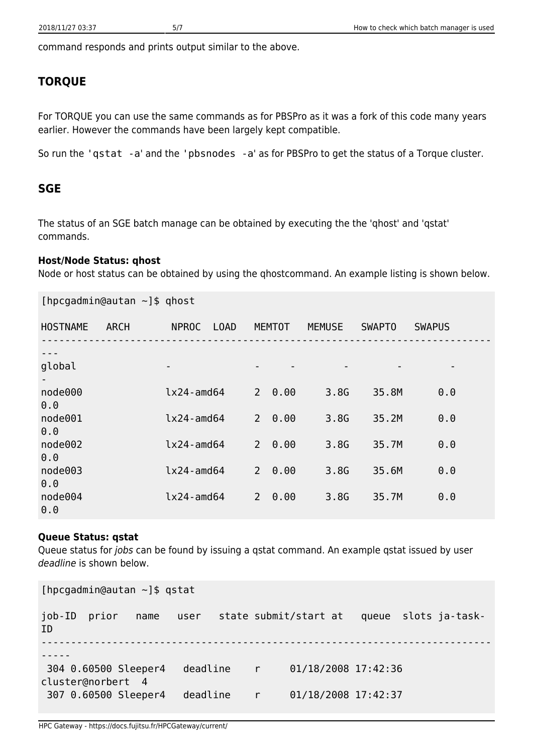command responds and prints output similar to the above.

# <span id="page-6-2"></span><span id="page-6-0"></span>**TORQUE**

For TORQUE you can use the same commands as for PBSPro as it was a fork of this code many years earlier. However the commands have been largely kept compatible.

So run the 'qstat -a' and the 'pbsnodes -a' as for PBSPro to get the status of a Torque cluster.

## <span id="page-6-3"></span><span id="page-6-1"></span>**SGE**

The status of an SGE batch manage can be obtained by executing the the 'qhost' and 'qstat' commands.

#### **Host/Node Status: qhost**

Node or host status can be obtained by using the qhostcommand. An example listing is shown below.

| [hpcgadmin@autan $\sim$ ]\$ qhost |             |                                      |                       |               |               |                    |                          |  |  |
|-----------------------------------|-------------|--------------------------------------|-----------------------|---------------|---------------|--------------------|--------------------------|--|--|
| <b>HOSTNAME</b>                   | <b>ARCH</b> | <b>NPROC</b><br>LOAD                 |                       | <b>MEMTOT</b> | <b>MEMUSE</b> | SWAPT <sub>0</sub> | <b>SWAPUS</b>            |  |  |
| global                            |             | $\overline{\phantom{a}}$             |                       |               |               |                    | $\overline{\phantom{a}}$ |  |  |
| node000<br>0.0<br>node001         |             | $lx24$ -amd $64$<br>$lx24$ -amd $64$ | 2<br>$\mathcal{P}$    | 0.00<br>0.00  | 3.8G<br>3.8G  | 35.8M<br>35.2M     | 0.0<br>0.0               |  |  |
| 0.0<br>node002<br>0.0             |             | $lx24$ -amd $64$                     | $\overline{2}$        | 0.00          | 3.8G          | 35.7M              | 0.0                      |  |  |
| node003<br>0.0                    |             | $lx24$ -amd $64$                     | $\mathbf{2}^{\prime}$ | 0.00          | 3.8G          | 35.6M              | 0.0                      |  |  |
| node004<br>0.0                    |             | $lx24$ -amd $64$                     | $\overline{2}$        | 0.00          | 3.8G          | 35.7M              | 0.0                      |  |  |

### **Queue Status: qstat**

Queue status for jobs can be found by issuing a qstat command. An example qstat issued by user deadline is shown below.

[hpcgadmin@autan ~]\$ qstat job-ID prior name user state submit/start at queue slots ja-task-ID ----------------------------------------------------------------------------  $-$  304 0.60500 Sleeper4 deadline r 01/18/2008 17:42:36 cluster@norbert 4 307 0.60500 Sleeper4 deadline r 01/18/2008 17:42:37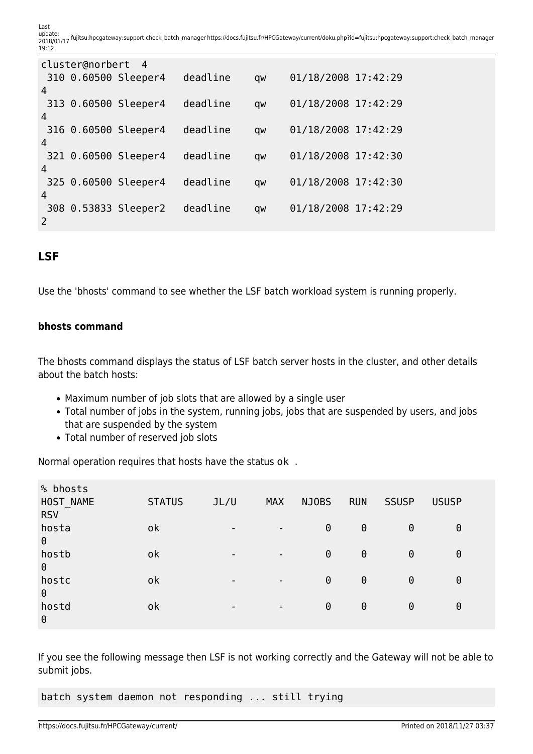|               | cluster@norbert | $\overline{4}$       |          |    |                     |  |
|---------------|-----------------|----------------------|----------|----|---------------------|--|
|               |                 | 310 0.60500 Sleeper4 | deadline | qw | 01/18/2008 17:42:29 |  |
|               |                 |                      |          |    |                     |  |
| 4             |                 |                      |          |    |                     |  |
|               |                 | 313 0.60500 Sleeper4 | deadline | qw | 01/18/2008 17:42:29 |  |
|               |                 |                      |          |    |                     |  |
| 4             |                 |                      |          |    |                     |  |
|               |                 | 316 0.60500 Sleeper4 | deadline |    | 01/18/2008 17:42:29 |  |
|               |                 |                      |          | qw |                     |  |
| 4             |                 |                      |          |    |                     |  |
|               |                 | 321 0.60500 Sleeper4 | deadline |    | 01/18/2008 17:42:30 |  |
|               |                 |                      |          | qw |                     |  |
| 4             |                 |                      |          |    |                     |  |
|               |                 |                      |          |    |                     |  |
|               |                 | 325 0.60500 Sleeper4 | deadline | qw | 01/18/2008 17:42:30 |  |
| 4             |                 |                      |          |    |                     |  |
|               |                 |                      |          |    |                     |  |
|               |                 | 308 0.53833 Sleeper2 | deadline | qw | 01/18/2008 17:42:29 |  |
| $\mathcal{L}$ |                 |                      |          |    |                     |  |
|               |                 |                      |          |    |                     |  |

### <span id="page-7-1"></span><span id="page-7-0"></span>**LSF**

Use the 'bhosts' command to see whether the LSF batch workload system is running properly.

### **bhosts command**

The bhosts command displays the status of LSF batch server hosts in the cluster, and other details about the batch hosts:

- Maximum number of job slots that are allowed by a single user
- Total number of jobs in the system, running jobs, jobs that are suspended by users, and jobs that are suspended by the system
- Total number of reserved job slots

Normal operation requires that hosts have the status ok .

| % bhosts<br>HOST_NAME | <b>STATUS</b> | JL/U                     | <b>MAX</b>               | NJ0BS    | <b>RUN</b> | <b>SSUSP</b> | <b>USUSP</b> |  |
|-----------------------|---------------|--------------------------|--------------------------|----------|------------|--------------|--------------|--|
| <b>RSV</b>            |               |                          |                          |          |            |              |              |  |
| hosta                 | ok            | $\overline{\phantom{a}}$ | $\overline{\phantom{a}}$ | $\Theta$ | $\Theta$   | 0            | 0            |  |
| $\Theta$              |               |                          |                          |          |            |              |              |  |
| hostb                 | ok            | $\overline{\phantom{a}}$ | $\blacksquare$           | $\Theta$ | $\Theta$   | $\Theta$     | $\Theta$     |  |
| $\Theta$              |               |                          |                          |          |            |              |              |  |
| hostc<br>$\Theta$     | ok            | $\overline{\phantom{a}}$ | $\blacksquare$           | $\Theta$ | $\Theta$   | $\Theta$     | $\Theta$     |  |
| hostd                 | оk            | $\overline{\phantom{a}}$ | $\blacksquare$           | $\Theta$ | $\Theta$   | 0            | $\Theta$     |  |
| $\Theta$              |               |                          |                          |          |            |              |              |  |
|                       |               |                          |                          |          |            |              |              |  |

If you see the following message then LSF is not working correctly and the Gateway will not be able to submit jobs.

batch system daemon not responding ... still trying